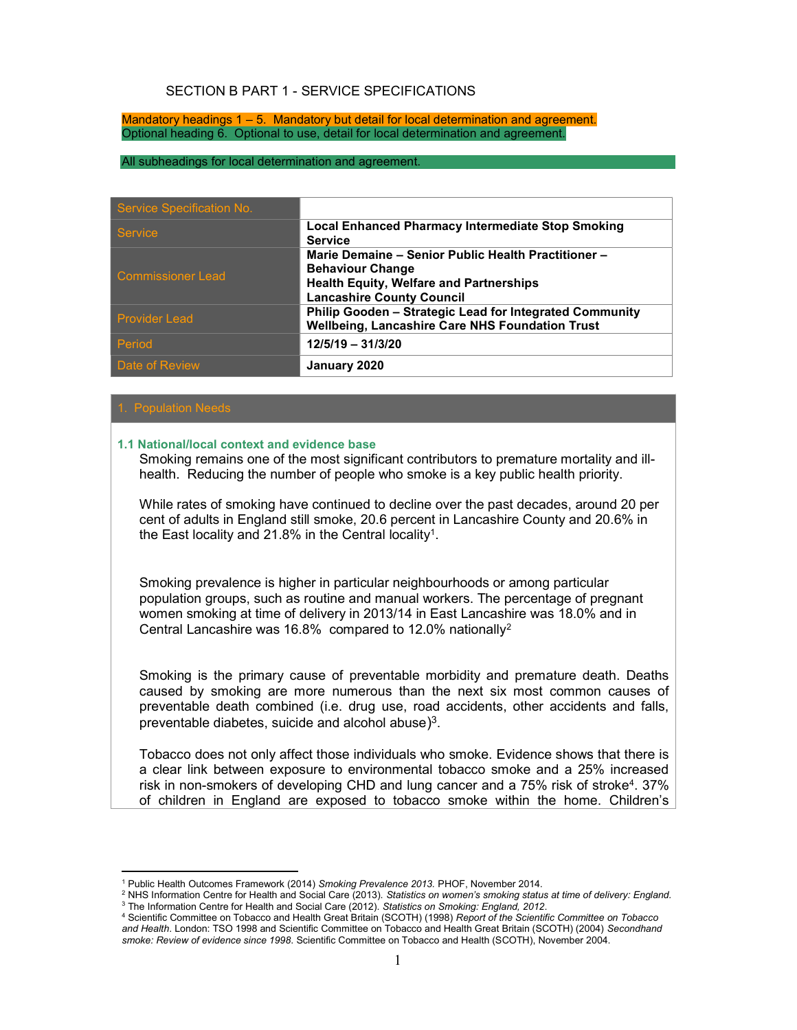#### SECTION B PART 1 - SERVICE SPECIFICATIONS

Mandatory headings 1 – 5. Mandatory but detail for local determination and agreement. Optional heading 6. Optional to use, detail for local determination and agreement.

#### All subheadings for local determination and agreement.

| Service Specification No. |                                                                                                                                                                      |
|---------------------------|----------------------------------------------------------------------------------------------------------------------------------------------------------------------|
| <b>Service</b>            | <b>Local Enhanced Pharmacy Intermediate Stop Smoking</b><br><b>Service</b>                                                                                           |
| <b>Commissioner Lead</b>  | Marie Demaine - Senior Public Health Practitioner -<br><b>Behaviour Change</b><br><b>Health Equity, Welfare and Partnerships</b><br><b>Lancashire County Council</b> |
| <b>Provider Lead</b>      | Philip Gooden - Strategic Lead for Integrated Community<br>Wellbeing, Lancashire Care NHS Foundation Trust                                                           |
| Period                    | $12/5/19 - 31/3/20$                                                                                                                                                  |
| Date of Review            | January 2020                                                                                                                                                         |

#### . Population Needs

-

#### 1.1 National/local context and evidence base

Smoking remains one of the most significant contributors to premature mortality and illhealth. Reducing the number of people who smoke is a key public health priority.

While rates of smoking have continued to decline over the past decades, around 20 per cent of adults in England still smoke, 20.6 percent in Lancashire County and 20.6% in the East locality and 21.8% in the Central locality<sup>1</sup>.

Smoking prevalence is higher in particular neighbourhoods or among particular population groups, such as routine and manual workers. The percentage of pregnant women smoking at time of delivery in 2013/14 in East Lancashire was 18.0% and in Central Lancashire was 16.8% compared to 12.0% nationally<sup>2</sup>

Smoking is the primary cause of preventable morbidity and premature death. Deaths caused by smoking are more numerous than the next six most common causes of preventable death combined (i.e. drug use, road accidents, other accidents and falls, preventable diabetes, suicide and alcohol abuse)<sup>3</sup>.

Tobacco does not only affect those individuals who smoke. Evidence shows that there is a clear link between exposure to environmental tobacco smoke and a 25% increased risk in non-smokers of developing CHD and lung cancer and a 75% risk of stroke<sup>4</sup> . 37% of children in England are exposed to tobacco smoke within the home. Children's

<sup>&</sup>lt;sup>1</sup> Public Health Outcomes Framework (2014) Smoking Prevalence 2013. PHOF, November 2014.

<sup>&</sup>lt;sup>2</sup> NHS Information Centre for Health and Social Care (2013). Statistics on women's smoking status at time of delivery: England. <sup>3</sup> The Information Centre for Health and Social Care (2012). Statistics on Smoking: England, 2012.

<sup>&</sup>lt;sup>4</sup> Scientific Committee on Tobacco and Health Great Britain (SCOTH) (1998) Report of the Scientific Committee on Tobacco and Health. London: TSO 1998 and Scientific Committee on Tobacco and Health Great Britain (SCOTH) (2004) Secondhand smoke: Review of evidence since 1998. Scientific Committee on Tobacco and Health (SCOTH), November 2004.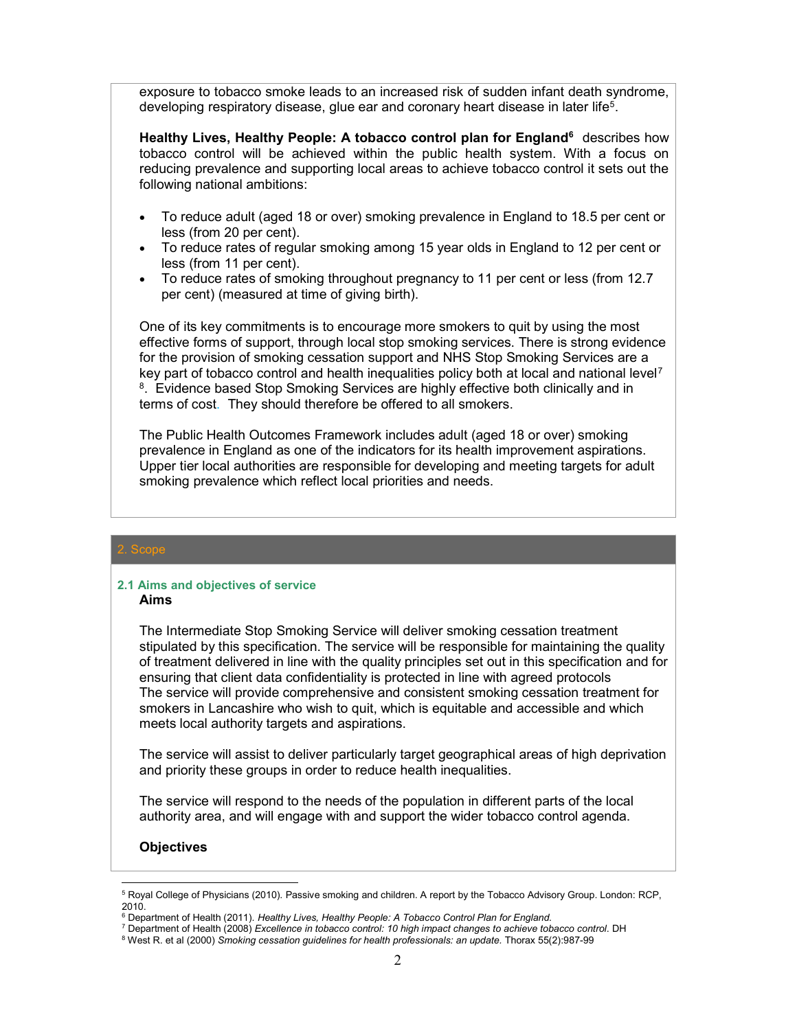exposure to tobacco smoke leads to an increased risk of sudden infant death syndrome, developing respiratory disease, glue ear and coronary heart disease in later life<sup>5</sup>.

Healthy Lives, Healthy People: A tobacco control plan for England<sup>6</sup> describes how tobacco control will be achieved within the public health system. With a focus on reducing prevalence and supporting local areas to achieve tobacco control it sets out the following national ambitions:

- To reduce adult (aged 18 or over) smoking prevalence in England to 18.5 per cent or less (from 20 per cent).
- To reduce rates of regular smoking among 15 year olds in England to 12 per cent or less (from 11 per cent).
- To reduce rates of smoking throughout pregnancy to 11 per cent or less (from 12.7 per cent) (measured at time of giving birth).

One of its key commitments is to encourage more smokers to quit by using the most effective forms of support, through local stop smoking services. There is strong evidence for the provision of smoking cessation support and NHS Stop Smoking Services are a key part of tobacco control and health inequalities policy both at local and national level<sup>7</sup> <sup>8</sup>. Evidence based Stop Smoking Services are highly effective both clinically and in terms of cost. They should therefore be offered to all smokers.

The Public Health Outcomes Framework includes adult (aged 18 or over) smoking prevalence in England as one of the indicators for its health improvement aspirations. Upper tier local authorities are responsible for developing and meeting targets for adult smoking prevalence which reflect local priorities and needs.

#### 2.1 Aims and objectives of service Aims

The Intermediate Stop Smoking Service will deliver smoking cessation treatment stipulated by this specification. The service will be responsible for maintaining the quality of treatment delivered in line with the quality principles set out in this specification and for ensuring that client data confidentiality is protected in line with agreed protocols The service will provide comprehensive and consistent smoking cessation treatment for smokers in Lancashire who wish to quit, which is equitable and accessible and which meets local authority targets and aspirations.

The service will assist to deliver particularly target geographical areas of high deprivation and priority these groups in order to reduce health inequalities.

The service will respond to the needs of the population in different parts of the local authority area, and will engage with and support the wider tobacco control agenda.

#### **Objectives**

-

<sup>&</sup>lt;sup>5</sup> Royal College of Physicians (2010). Passive smoking and children. A report by the Tobacco Advisory Group. London: RCP, 2010.

<sup>&</sup>lt;sup>6</sup> Department of Health (2011). Healthy Lives, Healthy People: A Tobacco Control Plan for England.

<sup>&</sup>lt;sup>7</sup> Department of Health (2008) Excellence in tobacco control: 10 high impact changes to achieve tobacco control. DH

<sup>&</sup>lt;sup>8</sup> West R. et al (2000) Smoking cessation guidelines for health professionals: an update. Thorax 55(2):987-99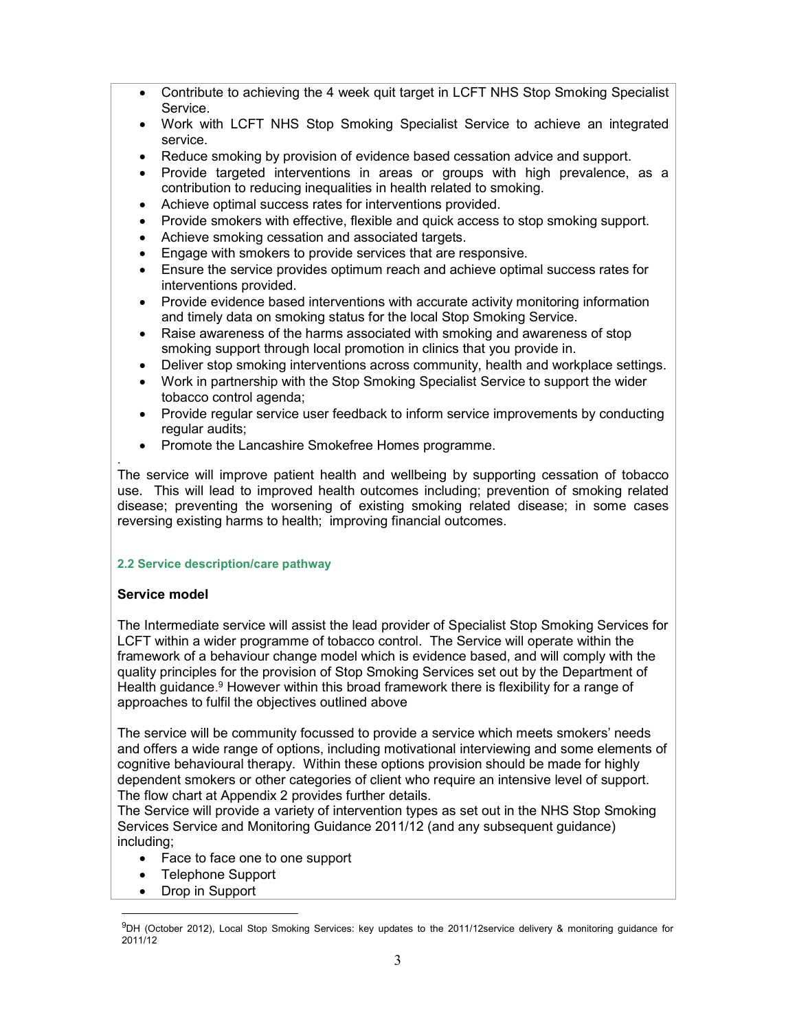- Contribute to achieving the 4 week quit target in LCFT NHS Stop Smoking Specialist Service.
- Work with LCFT NHS Stop Smoking Specialist Service to achieve an integrated service.
- Reduce smoking by provision of evidence based cessation advice and support.
- Provide targeted interventions in areas or groups with high prevalence, as a contribution to reducing inequalities in health related to smoking.
- Achieve optimal success rates for interventions provided.
- Provide smokers with effective, flexible and quick access to stop smoking support.
- Achieve smoking cessation and associated targets.
- Engage with smokers to provide services that are responsive.
- Ensure the service provides optimum reach and achieve optimal success rates for interventions provided.
- Provide evidence based interventions with accurate activity monitoring information and timely data on smoking status for the local Stop Smoking Service.
- Raise awareness of the harms associated with smoking and awareness of stop smoking support through local promotion in clinics that you provide in.
- Deliver stop smoking interventions across community, health and workplace settings.
- Work in partnership with the Stop Smoking Specialist Service to support the wider tobacco control agenda;
- Provide regular service user feedback to inform service improvements by conducting regular audits;
- Promote the Lancashire Smokefree Homes programme.

The service will improve patient health and wellbeing by supporting cessation of tobacco use. This will lead to improved health outcomes including; prevention of smoking related disease; preventing the worsening of existing smoking related disease; in some cases reversing existing harms to health; improving financial outcomes.

#### 2.2 Service description/care pathway

#### Service model

.

The Intermediate service will assist the lead provider of Specialist Stop Smoking Services for LCFT within a wider programme of tobacco control. The Service will operate within the framework of a behaviour change model which is evidence based, and will comply with the quality principles for the provision of Stop Smoking Services set out by the Department of Health guidance.<sup>9</sup> However within this broad framework there is flexibility for a range of approaches to fulfil the objectives outlined above

The service will be community focussed to provide a service which meets smokers' needs and offers a wide range of options, including motivational interviewing and some elements of cognitive behavioural therapy. Within these options provision should be made for highly dependent smokers or other categories of client who require an intensive level of support. The flow chart at Appendix 2 provides further details.

The Service will provide a variety of intervention types as set out in the NHS Stop Smoking Services Service and Monitoring Guidance 2011/12 (and any subsequent guidance) including;

- Face to face one to one support
- Telephone Support
- Drop in Support

-

 $^{9}$ DH (October 2012), Local Stop Smoking Services: key updates to the 2011/12service delivery & monitoring guidance for 2011/12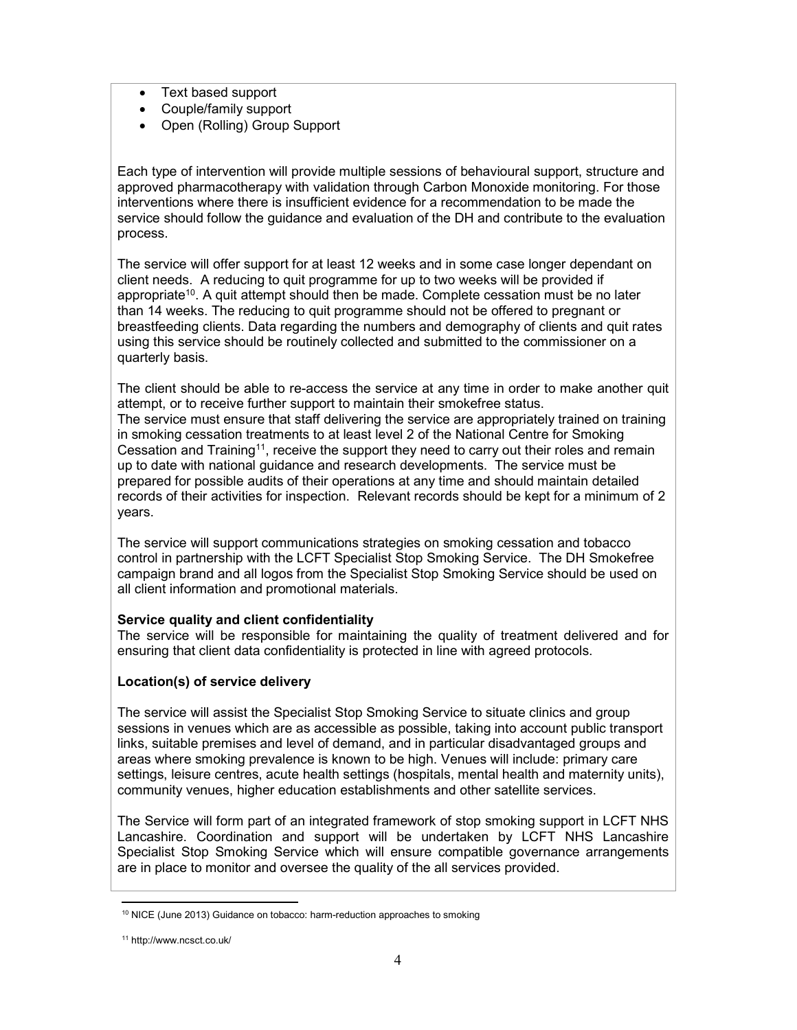- Text based support
- Couple/family support
- Open (Rolling) Group Support

Each type of intervention will provide multiple sessions of behavioural support, structure and approved pharmacotherapy with validation through Carbon Monoxide monitoring. For those interventions where there is insufficient evidence for a recommendation to be made the service should follow the guidance and evaluation of the DH and contribute to the evaluation process.

The service will offer support for at least 12 weeks and in some case longer dependant on client needs. A reducing to quit programme for up to two weeks will be provided if appropriate<sup>10</sup>. A quit attempt should then be made. Complete cessation must be no later than 14 weeks. The reducing to quit programme should not be offered to pregnant or breastfeeding clients. Data regarding the numbers and demography of clients and quit rates using this service should be routinely collected and submitted to the commissioner on a quarterly basis.

The client should be able to re-access the service at any time in order to make another quit attempt, or to receive further support to maintain their smokefree status. The service must ensure that staff delivering the service are appropriately trained on training in smoking cessation treatments to at least level 2 of the National Centre for Smoking Cessation and Training<sup>11</sup>, receive the support they need to carry out their roles and remain up to date with national guidance and research developments. The service must be prepared for possible audits of their operations at any time and should maintain detailed records of their activities for inspection. Relevant records should be kept for a minimum of 2 years.

The service will support communications strategies on smoking cessation and tobacco control in partnership with the LCFT Specialist Stop Smoking Service. The DH Smokefree campaign brand and all logos from the Specialist Stop Smoking Service should be used on all client information and promotional materials.

#### Service quality and client confidentiality

The service will be responsible for maintaining the quality of treatment delivered and for ensuring that client data confidentiality is protected in line with agreed protocols.

#### Location(s) of service delivery

The service will assist the Specialist Stop Smoking Service to situate clinics and group sessions in venues which are as accessible as possible, taking into account public transport links, suitable premises and level of demand, and in particular disadvantaged groups and areas where smoking prevalence is known to be high. Venues will include: primary care settings, leisure centres, acute health settings (hospitals, mental health and maternity units), community venues, higher education establishments and other satellite services.

The Service will form part of an integrated framework of stop smoking support in LCFT NHS Lancashire. Coordination and support will be undertaken by LCFT NHS Lancashire Specialist Stop Smoking Service which will ensure compatible governance arrangements are in place to monitor and oversee the quality of the all services provided.

<sup>-</sup><sup>10</sup> NICE (June 2013) Guidance on tobacco: harm-reduction approaches to smoking

<sup>11</sup> http://www.ncsct.co.uk/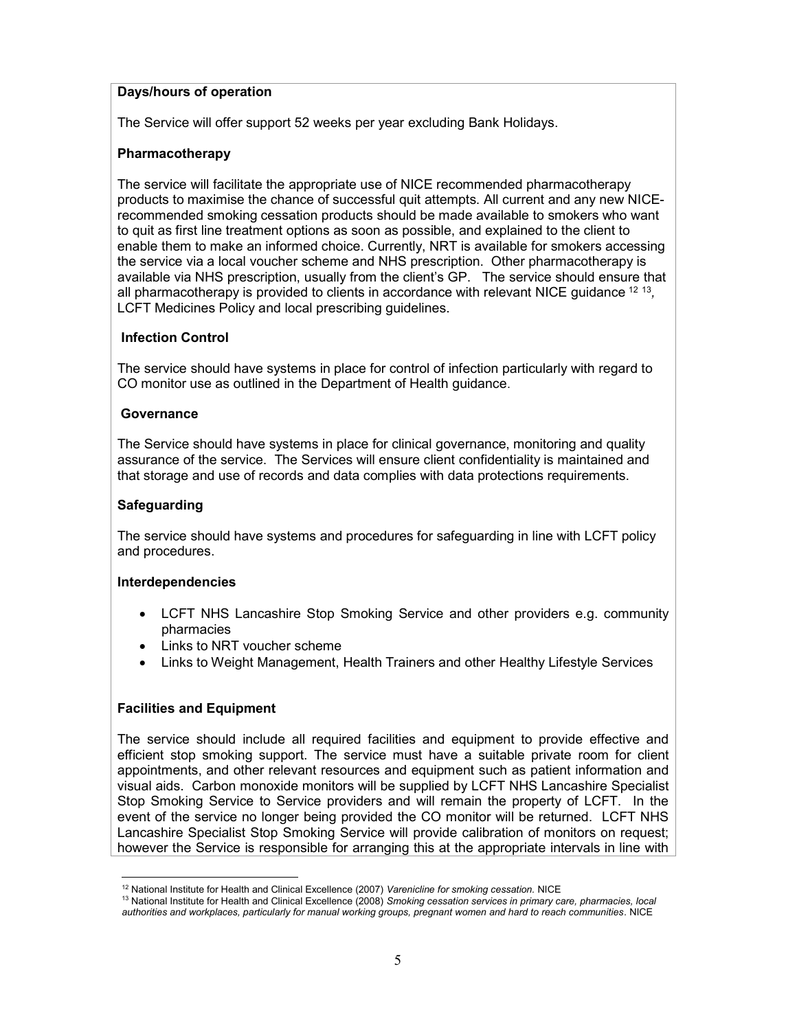#### Days/hours of operation

The Service will offer support 52 weeks per year excluding Bank Holidays.

#### Pharmacotherapy

The service will facilitate the appropriate use of NICE recommended pharmacotherapy products to maximise the chance of successful quit attempts. All current and any new NICErecommended smoking cessation products should be made available to smokers who want to quit as first line treatment options as soon as possible, and explained to the client to enable them to make an informed choice. Currently, NRT is available for smokers accessing the service via a local voucher scheme and NHS prescription. Other pharmacotherapy is available via NHS prescription, usually from the client's GP. The service should ensure that all pharmacotherapy is provided to clients in accordance with relevant NICE guidance  $^{12}$   $^{13}$ , LCFT Medicines Policy and local prescribing guidelines.

#### Infection Control

The service should have systems in place for control of infection particularly with regard to CO monitor use as outlined in the Department of Health guidance.

#### **Governance**

The Service should have systems in place for clinical governance, monitoring and quality assurance of the service. The Services will ensure client confidentiality is maintained and that storage and use of records and data complies with data protections requirements.

#### Safeguarding

The service should have systems and procedures for safeguarding in line with LCFT policy and procedures.

#### Interdependencies

- LCFT NHS Lancashire Stop Smoking Service and other providers e.g. community pharmacies
- Links to NRT voucher scheme
- Links to Weight Management, Health Trainers and other Healthy Lifestyle Services

#### Facilities and Equipment

The service should include all required facilities and equipment to provide effective and efficient stop smoking support. The service must have a suitable private room for client appointments, and other relevant resources and equipment such as patient information and visual aids. Carbon monoxide monitors will be supplied by LCFT NHS Lancashire Specialist Stop Smoking Service to Service providers and will remain the property of LCFT. In the event of the service no longer being provided the CO monitor will be returned. LCFT NHS Lancashire Specialist Stop Smoking Service will provide calibration of monitors on request; however the Service is responsible for arranging this at the appropriate intervals in line with

<sup>-</sup><sup>12</sup> National Institute for Health and Clinical Excellence (2007) Varenicline for smoking cessation. NICE

<sup>&</sup>lt;sup>13</sup> National Institute for Health and Clinical Excellence (2008) Smoking cessation services in primary care, pharmacies, local authorities and workplaces, particularly for manual working groups, pregnant women and hard to reach communities. NICE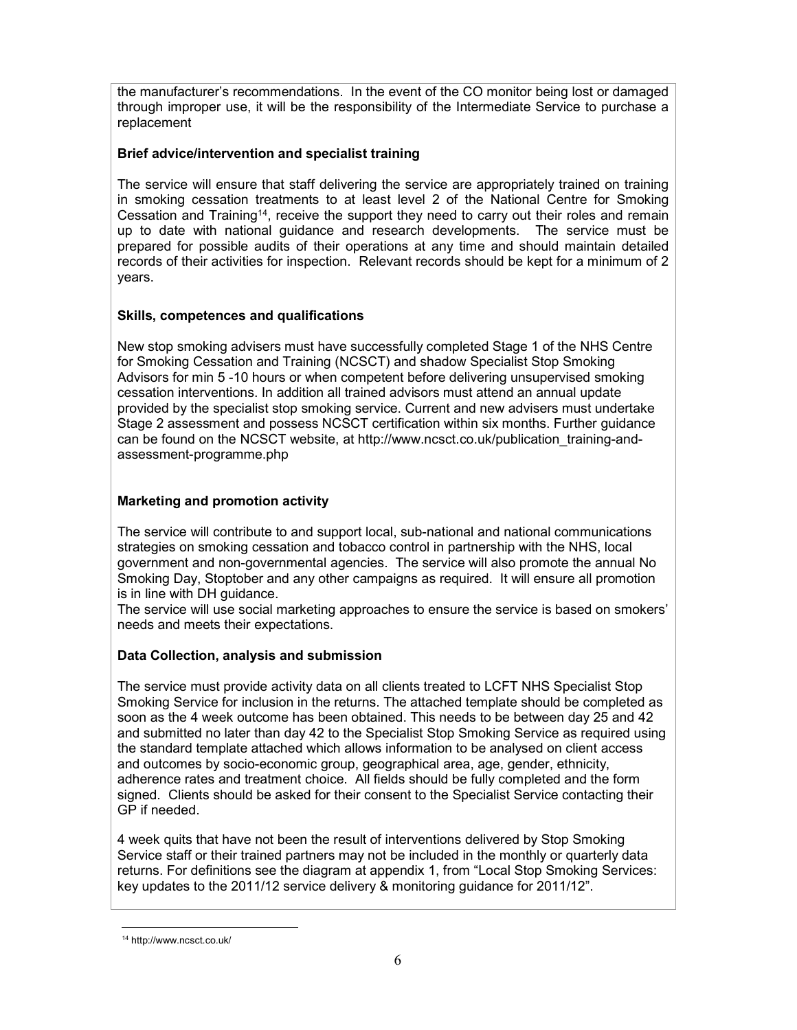the manufacturer's recommendations. In the event of the CO monitor being lost or damaged through improper use, it will be the responsibility of the Intermediate Service to purchase a replacement

#### Brief advice/intervention and specialist training

The service will ensure that staff delivering the service are appropriately trained on training in smoking cessation treatments to at least level 2 of the National Centre for Smoking Cessation and Training<sup>14</sup>, receive the support they need to carry out their roles and remain up to date with national guidance and research developments. The service must be prepared for possible audits of their operations at any time and should maintain detailed records of their activities for inspection. Relevant records should be kept for a minimum of 2 years.

#### Skills, competences and qualifications

New stop smoking advisers must have successfully completed Stage 1 of the NHS Centre for Smoking Cessation and Training (NCSCT) and shadow Specialist Stop Smoking Advisors for min 5 -10 hours or when competent before delivering unsupervised smoking cessation interventions. In addition all trained advisors must attend an annual update provided by the specialist stop smoking service. Current and new advisers must undertake Stage 2 assessment and possess NCSCT certification within six months. Further guidance can be found on the NCSCT website, at http://www.ncsct.co.uk/publication\_training-andassessment-programme.php

#### Marketing and promotion activity

The service will contribute to and support local, sub-national and national communications strategies on smoking cessation and tobacco control in partnership with the NHS, local government and non-governmental agencies. The service will also promote the annual No Smoking Day, Stoptober and any other campaigns as required. It will ensure all promotion is in line with DH guidance.

The service will use social marketing approaches to ensure the service is based on smokers' needs and meets their expectations.

#### Data Collection, analysis and submission

The service must provide activity data on all clients treated to LCFT NHS Specialist Stop Smoking Service for inclusion in the returns. The attached template should be completed as soon as the 4 week outcome has been obtained. This needs to be between day 25 and 42 and submitted no later than day 42 to the Specialist Stop Smoking Service as required using the standard template attached which allows information to be analysed on client access and outcomes by socio-economic group, geographical area, age, gender, ethnicity, adherence rates and treatment choice. All fields should be fully completed and the form signed. Clients should be asked for their consent to the Specialist Service contacting their GP if needed.

4 week quits that have not been the result of interventions delivered by Stop Smoking Service staff or their trained partners may not be included in the monthly or quarterly data returns. For definitions see the diagram at appendix 1, from "Local Stop Smoking Services: key updates to the 2011/12 service delivery & monitoring guidance for 2011/12".

-

<sup>14</sup> http://www.ncsct.co.uk/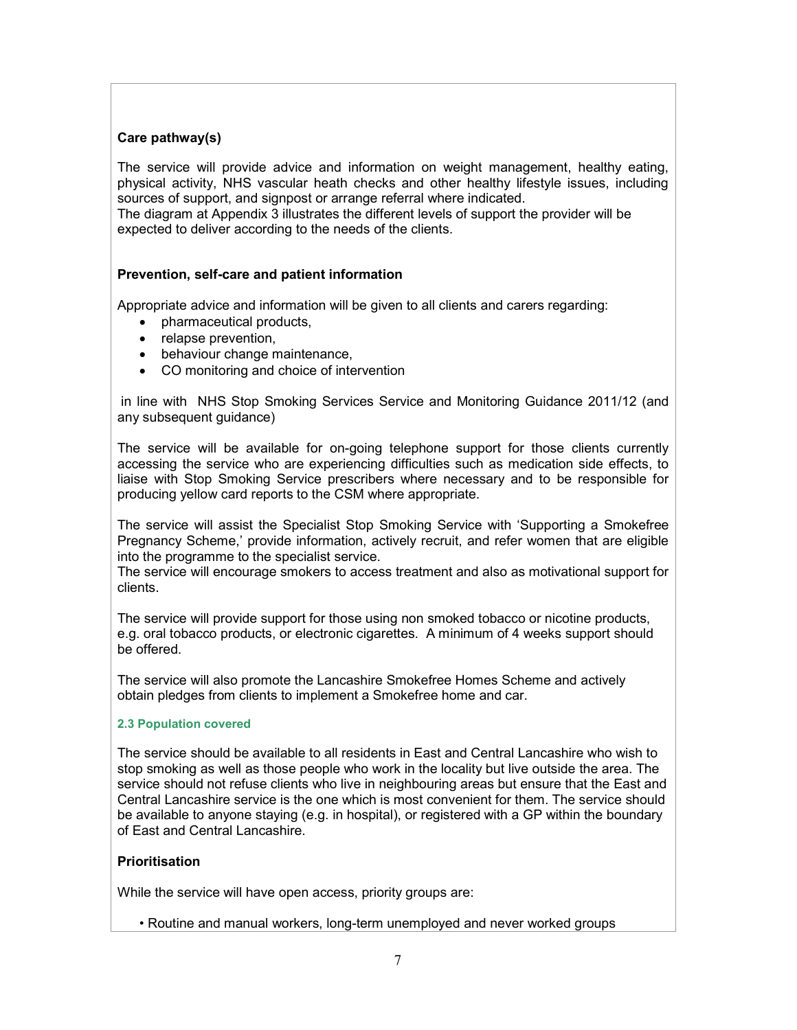#### Care pathway(s)

The service will provide advice and information on weight management, healthy eating, physical activity, NHS vascular heath checks and other healthy lifestyle issues, including sources of support, and signpost or arrange referral where indicated.

The diagram at Appendix 3 illustrates the different levels of support the provider will be expected to deliver according to the needs of the clients.

#### Prevention, self-care and patient information

Appropriate advice and information will be given to all clients and carers regarding:

- pharmaceutical products,
- relapse prevention,
- behaviour change maintenance,
- CO monitoring and choice of intervention

 in line with NHS Stop Smoking Services Service and Monitoring Guidance 2011/12 (and any subsequent guidance)

The service will be available for on-going telephone support for those clients currently accessing the service who are experiencing difficulties such as medication side effects, to liaise with Stop Smoking Service prescribers where necessary and to be responsible for producing yellow card reports to the CSM where appropriate.

The service will assist the Specialist Stop Smoking Service with 'Supporting a Smokefree Pregnancy Scheme,' provide information, actively recruit, and refer women that are eligible into the programme to the specialist service.

The service will encourage smokers to access treatment and also as motivational support for clients.

The service will provide support for those using non smoked tobacco or nicotine products, e.g. oral tobacco products, or electronic cigarettes. A minimum of 4 weeks support should be offered.

The service will also promote the Lancashire Smokefree Homes Scheme and actively obtain pledges from clients to implement a Smokefree home and car.

#### 2.3 Population covered

The service should be available to all residents in East and Central Lancashire who wish to stop smoking as well as those people who work in the locality but live outside the area. The service should not refuse clients who live in neighbouring areas but ensure that the East and Central Lancashire service is the one which is most convenient for them. The service should be available to anyone staying (e.g. in hospital), or registered with a GP within the boundary of East and Central Lancashire.

#### **Prioritisation**

While the service will have open access, priority groups are:

• Routine and manual workers, long-term unemployed and never worked groups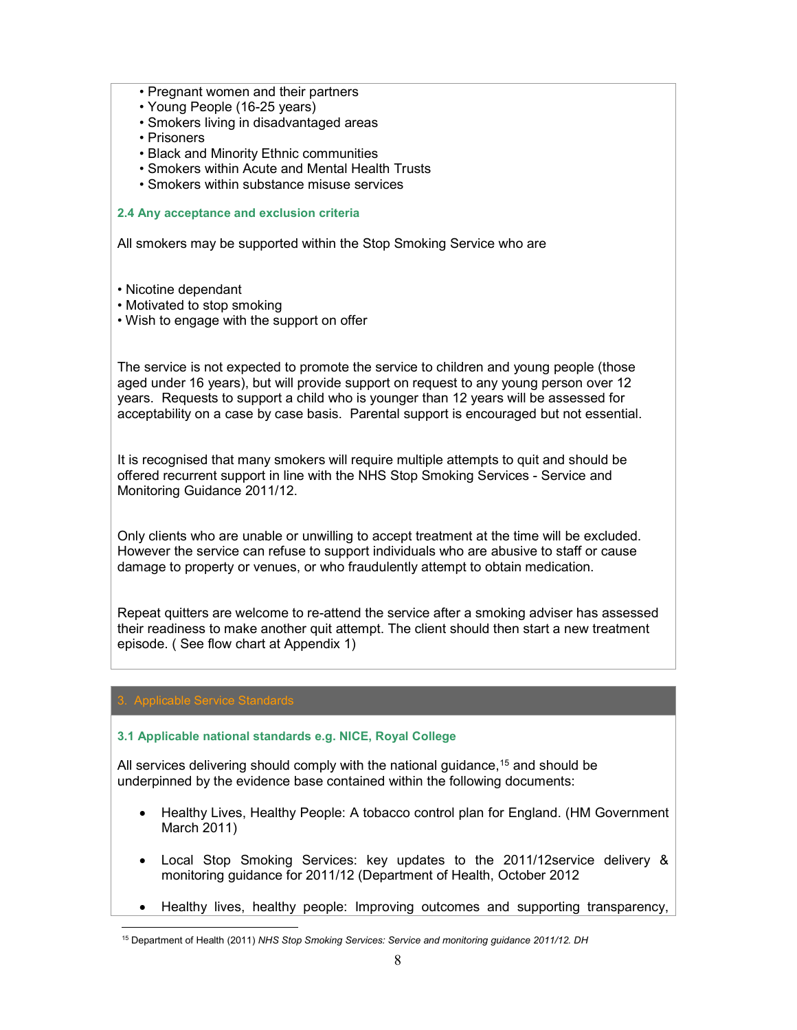- Pregnant women and their partners
- Young People (16-25 years)
- Smokers living in disadvantaged areas
- Prisoners
- Black and Minority Ethnic communities
- Smokers within Acute and Mental Health Trusts
- Smokers within substance misuse services

#### 2.4 Any acceptance and exclusion criteria

All smokers may be supported within the Stop Smoking Service who are

- Nicotine dependant
- Motivated to stop smoking
- Wish to engage with the support on offer

The service is not expected to promote the service to children and young people (those aged under 16 years), but will provide support on request to any young person over 12 years. Requests to support a child who is younger than 12 years will be assessed for acceptability on a case by case basis. Parental support is encouraged but not essential.

It is recognised that many smokers will require multiple attempts to quit and should be offered recurrent support in line with the NHS Stop Smoking Services - Service and Monitoring Guidance 2011/12.

Only clients who are unable or unwilling to accept treatment at the time will be excluded. However the service can refuse to support individuals who are abusive to staff or cause damage to property or venues, or who fraudulently attempt to obtain medication.

Repeat quitters are welcome to re-attend the service after a smoking adviser has assessed their readiness to make another quit attempt. The client should then start a new treatment episode. ( See flow chart at Appendix 1)

### 3. Applicable Service Standards

-

#### 3.1 Applicable national standards e.g. NICE, Royal College

All services delivering should comply with the national quidance,  $15$  and should be underpinned by the evidence base contained within the following documents:

- Healthy Lives, Healthy People: A tobacco control plan for England. (HM Government March 2011)
- Local Stop Smoking Services: key updates to the 2011/12service delivery & monitoring guidance for 2011/12 (Department of Health, October 2012
- Healthy lives, healthy people: Improving outcomes and supporting transparency,

<sup>&</sup>lt;sup>15</sup> Department of Health (2011) NHS Stop Smoking Services: Service and monitoring guidance 2011/12. DH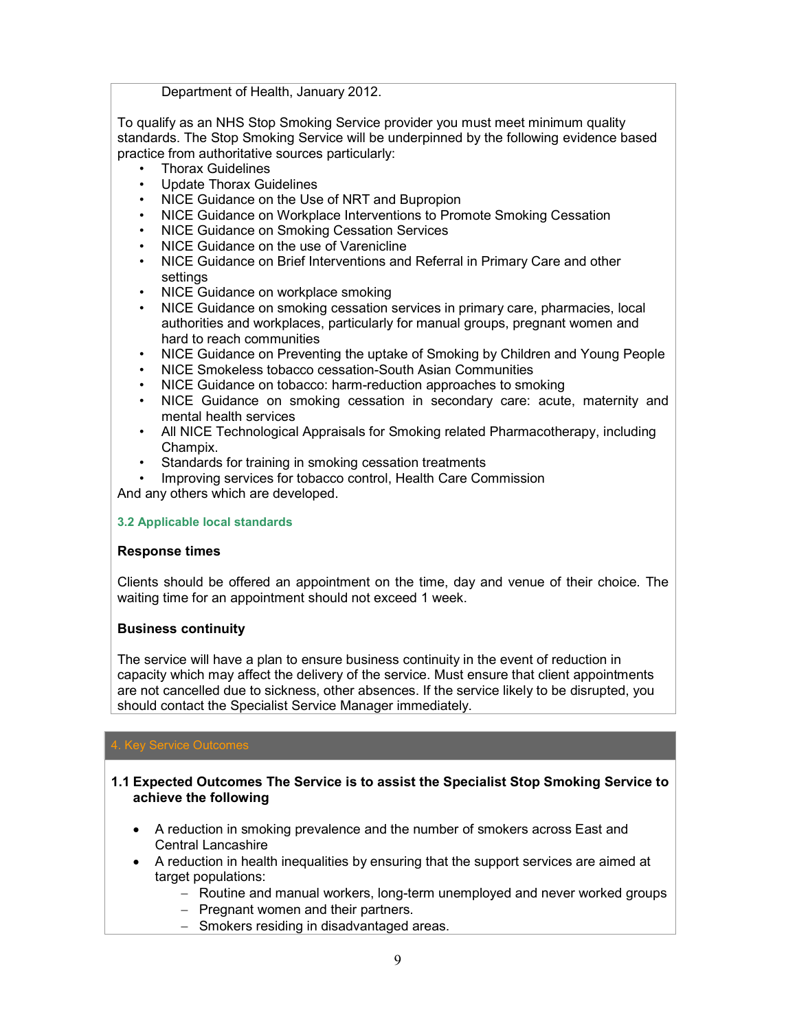Department of Health, January 2012.

To qualify as an NHS Stop Smoking Service provider you must meet minimum quality standards. The Stop Smoking Service will be underpinned by the following evidence based practice from authoritative sources particularly:

- Thorax Guidelines
- Update Thorax Guidelines
- NICE Guidance on the Use of NRT and Bupropion
- NICE Guidance on Workplace Interventions to Promote Smoking Cessation
- NICE Guidance on Smoking Cessation Services
- NICE Guidance on the use of Varenicline
- NICE Guidance on Brief Interventions and Referral in Primary Care and other settings
- NICE Guidance on workplace smoking
- NICE Guidance on smoking cessation services in primary care, pharmacies, local authorities and workplaces, particularly for manual groups, pregnant women and hard to reach communities
- NICE Guidance on Preventing the uptake of Smoking by Children and Young People
- NICE Smokeless tobacco cessation-South Asian Communities
- NICE Guidance on tobacco: harm-reduction approaches to smoking
- NICE Guidance on smoking cessation in secondary care: acute, maternity and mental health services
- All NICE Technological Appraisals for Smoking related Pharmacotherapy, including Champix.
- Standards for training in smoking cessation treatments
- Improving services for tobacco control, Health Care Commission

And any others which are developed.

#### 3.2 Applicable local standards

#### Response times

Clients should be offered an appointment on the time, day and venue of their choice. The waiting time for an appointment should not exceed 1 week.

#### Business continuity

The service will have a plan to ensure business continuity in the event of reduction in capacity which may affect the delivery of the service. Must ensure that client appointments are not cancelled due to sickness, other absences. If the service likely to be disrupted, you should contact the Specialist Service Manager immediately.

### **Key Service Outcomes**

- 1.1 Expected Outcomes The Service is to assist the Specialist Stop Smoking Service to achieve the following
	- A reduction in smoking prevalence and the number of smokers across East and Central Lancashire
	- A reduction in health inequalities by ensuring that the support services are aimed at target populations:
		- Routine and manual workers, long-term unemployed and never worked groups
		- $-$  Pregnant women and their partners.
		- Smokers residing in disadvantaged areas.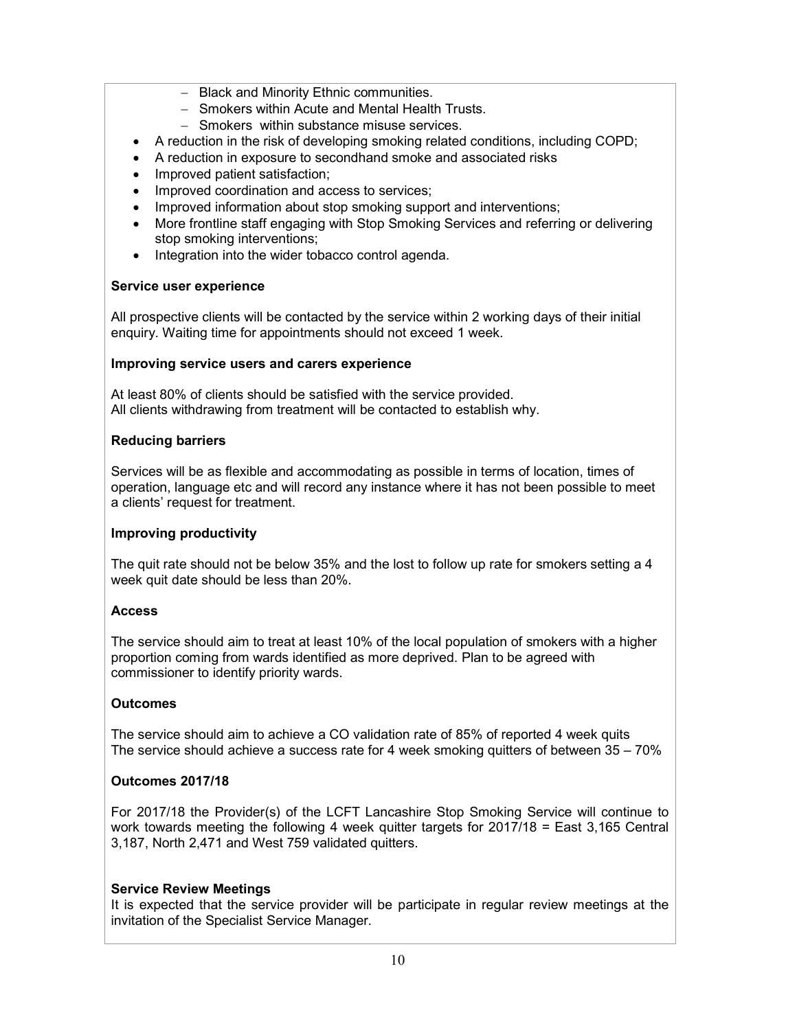- Black and Minority Ethnic communities.
- Smokers within Acute and Mental Health Trusts.
- Smokers within substance misuse services.
- A reduction in the risk of developing smoking related conditions, including COPD;
- A reduction in exposure to secondhand smoke and associated risks
- Improved patient satisfaction;
- Improved coordination and access to services;
- Improved information about stop smoking support and interventions;
- More frontline staff engaging with Stop Smoking Services and referring or delivering stop smoking interventions;
- Integration into the wider tobacco control agenda.

#### Service user experience

All prospective clients will be contacted by the service within 2 working days of their initial enquiry. Waiting time for appointments should not exceed 1 week.

#### Improving service users and carers experience

At least 80% of clients should be satisfied with the service provided. All clients withdrawing from treatment will be contacted to establish why.

#### Reducing barriers

Services will be as flexible and accommodating as possible in terms of location, times of operation, language etc and will record any instance where it has not been possible to meet a clients' request for treatment.

#### Improving productivity

The quit rate should not be below 35% and the lost to follow up rate for smokers setting a 4 week quit date should be less than 20%.

#### Access

The service should aim to treat at least 10% of the local population of smokers with a higher proportion coming from wards identified as more deprived. Plan to be agreed with commissioner to identify priority wards.

#### **Outcomes**

The service should aim to achieve a CO validation rate of 85% of reported 4 week quits The service should achieve a success rate for 4 week smoking quitters of between 35 – 70%

#### Outcomes 2017/18

For 2017/18 the Provider(s) of the LCFT Lancashire Stop Smoking Service will continue to work towards meeting the following 4 week quitter targets for 2017/18 = East 3,165 Central 3,187, North 2,471 and West 759 validated quitters.

#### Service Review Meetings

It is expected that the service provider will be participate in regular review meetings at the invitation of the Specialist Service Manager.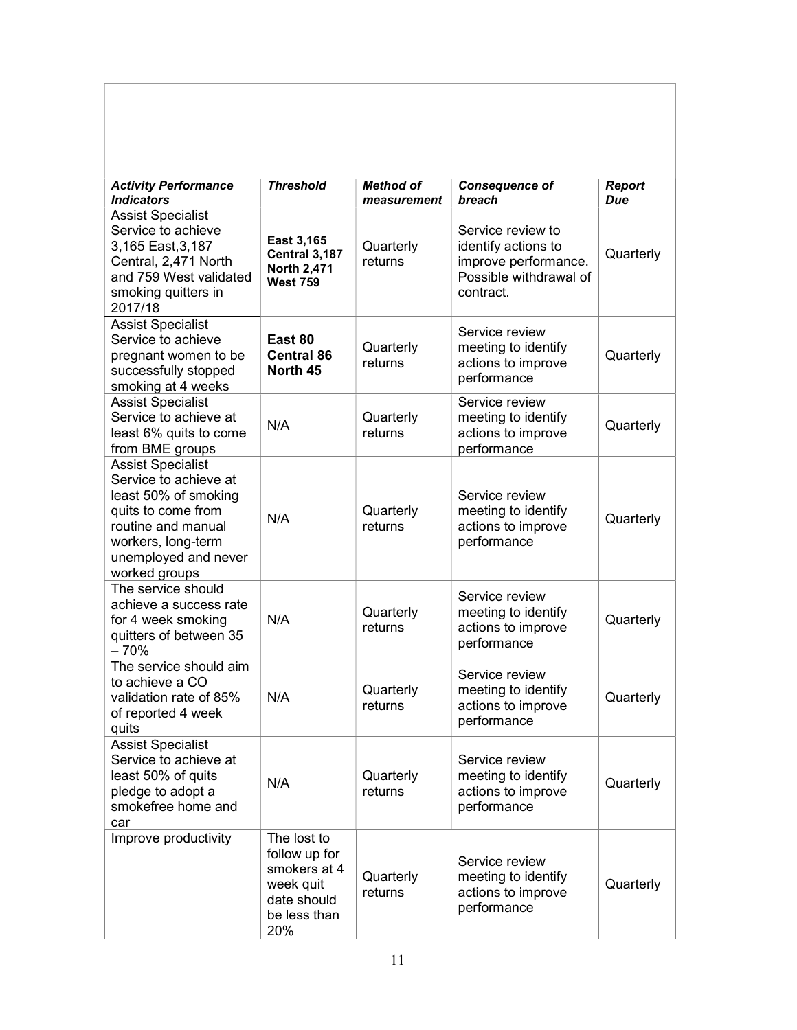| <b>Activity Performance</b><br><b>Indicators</b>                                                                                                                                     | <b>Threshold</b>                                                                                | Method of<br>measurement | <b>Consequence of</b><br>breach                                                                         | <b>Report</b><br>Due |
|--------------------------------------------------------------------------------------------------------------------------------------------------------------------------------------|-------------------------------------------------------------------------------------------------|--------------------------|---------------------------------------------------------------------------------------------------------|----------------------|
| <b>Assist Specialist</b><br>Service to achieve<br>3,165 East, 3,187<br>Central, 2,471 North<br>and 759 West validated<br>smoking quitters in<br>2017/18                              | East 3,165<br>Central 3,187<br>North 2,471<br><b>West 759</b>                                   | Quarterly<br>returns     | Service review to<br>identify actions to<br>improve performance.<br>Possible withdrawal of<br>contract. | Quarterly            |
| <b>Assist Specialist</b><br>Service to achieve<br>pregnant women to be<br>successfully stopped<br>smoking at 4 weeks                                                                 | East 80<br><b>Central 86</b><br>North 45                                                        | Quarterly<br>returns     | Service review<br>meeting to identify<br>actions to improve<br>performance                              | Quarterly            |
| <b>Assist Specialist</b><br>Service to achieve at<br>least 6% quits to come<br>from BME groups                                                                                       | N/A                                                                                             | Quarterly<br>returns     | Service review<br>meeting to identify<br>actions to improve<br>performance                              | Quarterly            |
| <b>Assist Specialist</b><br>Service to achieve at<br>least 50% of smoking<br>quits to come from<br>routine and manual<br>workers, long-term<br>unemployed and never<br>worked groups | N/A                                                                                             | Quarterly<br>returns     | Service review<br>meeting to identify<br>actions to improve<br>performance                              | Quarterly            |
| The service should<br>achieve a success rate<br>for 4 week smoking<br>quitters of between 35<br>$-70%$                                                                               | N/A                                                                                             | Quarterly<br>returns     | Service review<br>meeting to identify<br>actions to improve<br>performance                              | Quarterly            |
| The service should aim<br>to achieve a CO<br>validation rate of 85%<br>of reported 4 week<br>quits                                                                                   | N/A                                                                                             | Quarterly<br>returns     | Service review<br>meeting to identify<br>actions to improve<br>performance                              | Quarterly            |
| <b>Assist Specialist</b><br>Service to achieve at<br>least 50% of quits<br>pledge to adopt a<br>smokefree home and<br>car                                                            | N/A                                                                                             | Quarterly<br>returns     | Service review<br>meeting to identify<br>actions to improve<br>performance                              | Quarterly            |
| Improve productivity                                                                                                                                                                 | The lost to<br>follow up for<br>smokers at 4<br>week quit<br>date should<br>be less than<br>20% | Quarterly<br>returns     | Service review<br>meeting to identify<br>actions to improve<br>performance                              | Quarterly            |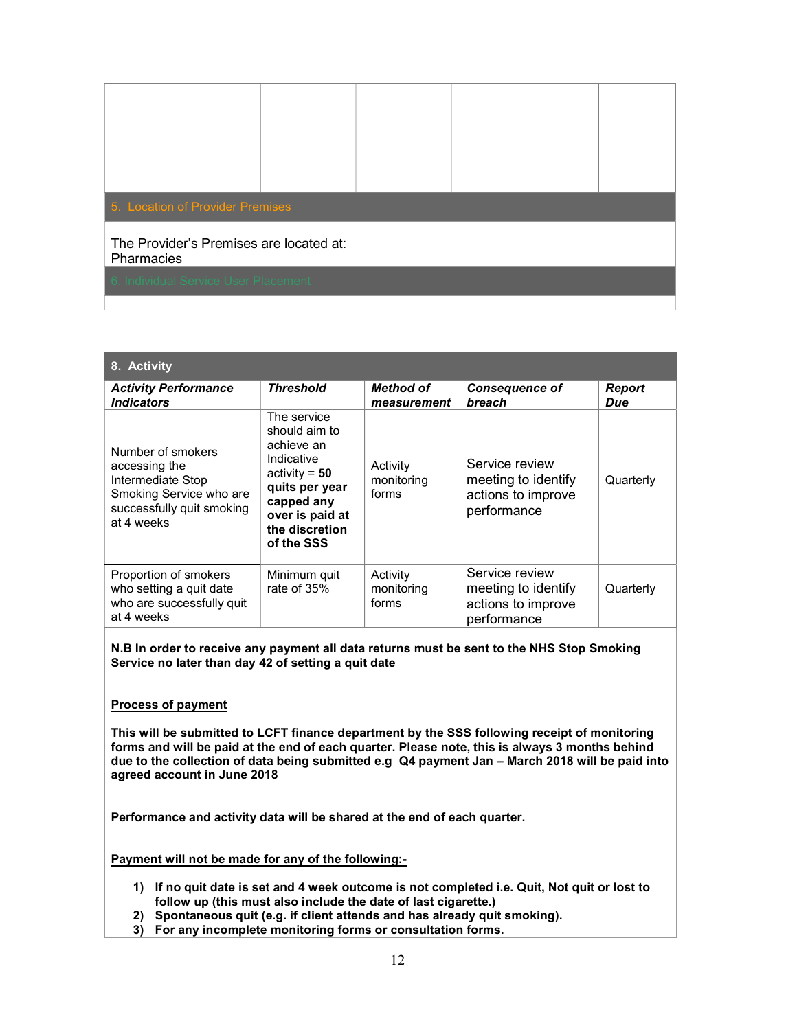| 5. Location of Provider Premises                      |  |  |
|-------------------------------------------------------|--|--|
| The Provider's Premises are located at:<br>Pharmacies |  |  |
| 6. Individual Service User Placement                  |  |  |

| 8. Activity                                                                                                                   |                                                                                                                                                                |                                 |                                                                            |                      |
|-------------------------------------------------------------------------------------------------------------------------------|----------------------------------------------------------------------------------------------------------------------------------------------------------------|---------------------------------|----------------------------------------------------------------------------|----------------------|
| <b>Activity Performance</b><br><i><u><b>Indicators</b></u></i>                                                                | <b>Threshold</b>                                                                                                                                               | Method of<br>measurement        | <b>Consequence of</b><br>breach                                            | <b>Report</b><br>Due |
| Number of smokers<br>accessing the<br>Intermediate Stop<br>Smoking Service who are<br>successfully quit smoking<br>at 4 weeks | The service<br>should aim to<br>achieve an<br>Indicative<br>activity = $50$<br>quits per year<br>capped any<br>over is paid at<br>the discretion<br>of the SSS | Activity<br>monitoring<br>forms | Service review<br>meeting to identify<br>actions to improve<br>performance | Quarterly            |
| Proportion of smokers<br>who setting a quit date<br>who are successfully quit<br>at 4 weeks                                   | Minimum quit<br>rate of 35%                                                                                                                                    | Activity<br>monitoring<br>forms | Service review<br>meeting to identify<br>actions to improve<br>performance | Quarterly            |

N.B In order to receive any payment all data returns must be sent to the NHS Stop Smoking Service no later than day 42 of setting a quit date

#### Process of payment

This will be submitted to LCFT finance department by the SSS following receipt of monitoring forms and will be paid at the end of each quarter. Please note, this is always 3 months behind due to the collection of data being submitted e.g Q4 payment Jan – March 2018 will be paid into agreed account in June 2018

Performance and activity data will be shared at the end of each quarter.

Payment will not be made for any of the following:-

- 1) If no quit date is set and 4 week outcome is not completed i.e. Quit, Not quit or lost to follow up (this must also include the date of last cigarette.)
- 2) Spontaneous quit (e.g. if client attends and has already quit smoking).
- 3) For any incomplete monitoring forms or consultation forms.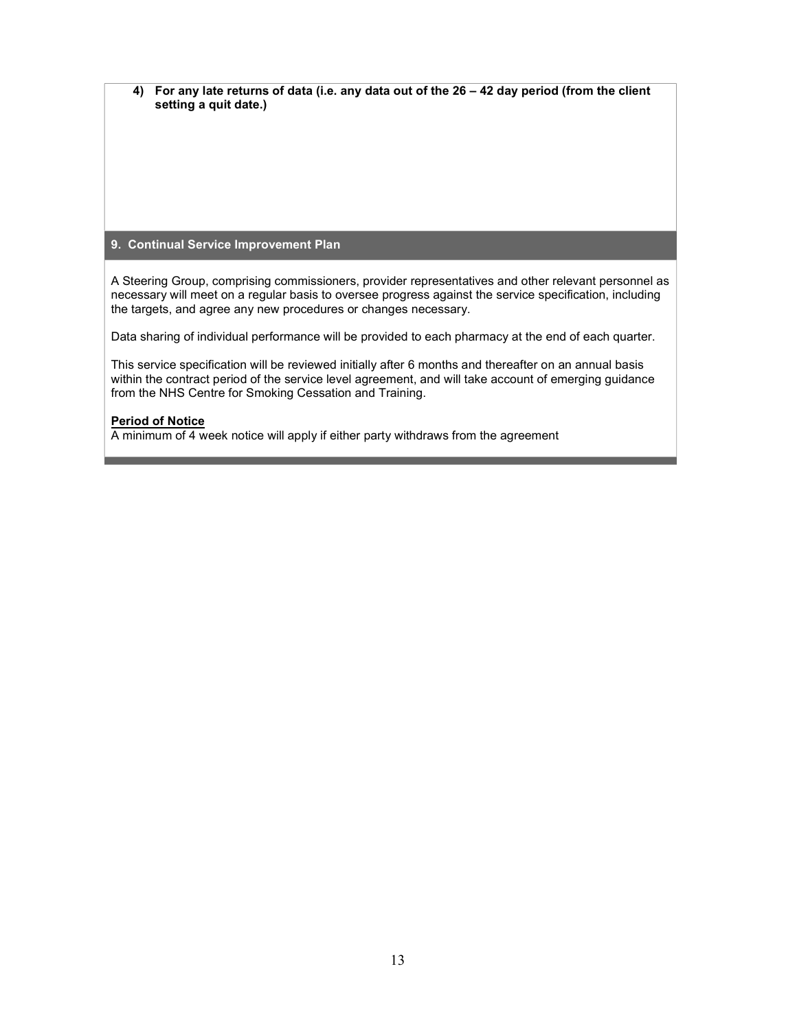4) For any late returns of data (i.e. any data out of the 26 – 42 day period (from the client setting a quit date.)

#### 9. Continual Service Improvement Plan

A Steering Group, comprising commissioners, provider representatives and other relevant personnel as necessary will meet on a regular basis to oversee progress against the service specification, including the targets, and agree any new procedures or changes necessary.

Data sharing of individual performance will be provided to each pharmacy at the end of each quarter.

This service specification will be reviewed initially after 6 months and thereafter on an annual basis within the contract period of the service level agreement, and will take account of emerging guidance from the NHS Centre for Smoking Cessation and Training.

#### Period of Notice

A minimum of 4 week notice will apply if either party withdraws from the agreement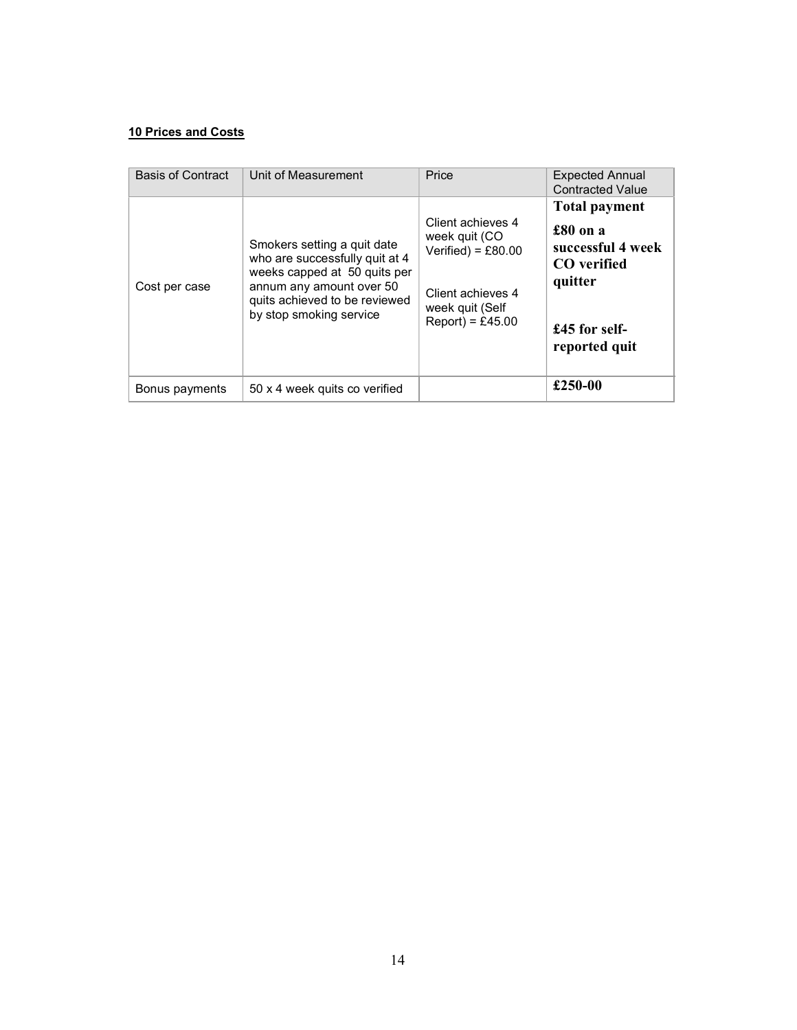#### 10 Prices and Costs

| <b>Basis of Contract</b> | Unit of Measurement                                                                                                                                                                   | Price                                                                                                                    | <b>Expected Annual</b><br><b>Contracted Value</b>                                                                 |
|--------------------------|---------------------------------------------------------------------------------------------------------------------------------------------------------------------------------------|--------------------------------------------------------------------------------------------------------------------------|-------------------------------------------------------------------------------------------------------------------|
| Cost per case            | Smokers setting a quit date<br>who are successfully quit at 4<br>weeks capped at 50 quits per<br>annum any amount over 50<br>quits achieved to be reviewed<br>by stop smoking service | Client achieves 4<br>week quit (CO<br>Verified) = $£80.00$<br>Client achieves 4<br>week quit (Self<br>$Report) = £45.00$ | <b>Total payment</b><br>£80 on a<br>successful 4 week<br>CO verified<br>quitter<br>£45 for self-<br>reported quit |
| Bonus payments           | 50 x 4 week quits co verified                                                                                                                                                         |                                                                                                                          | £250-00                                                                                                           |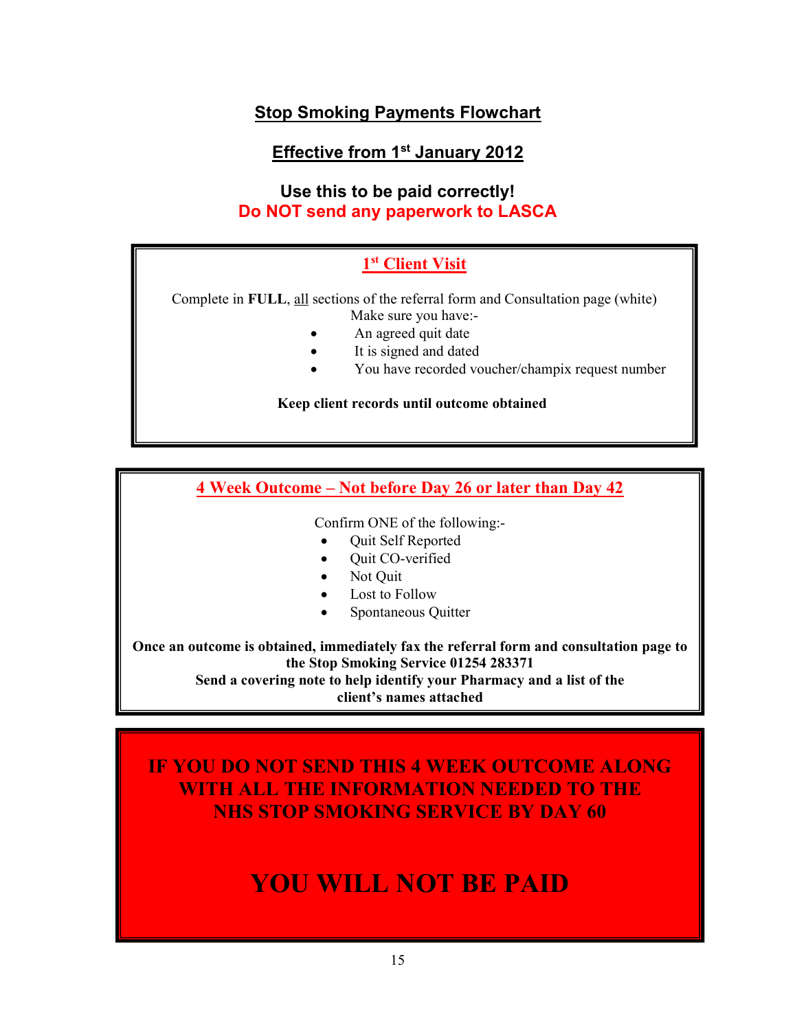### Stop Smoking Payments Flowchart

## Effective from 1st January 2012

### Use this to be paid correctly! Do NOT send any paperwork to LASCA

#### do not send any paperwork to LASCA send any paperwork to LASCA send any paperwork to LASCA send any paperwork to LASCA send any paperwork to LASCA send any paperwork to LASCA send any paperwork to LASCA send any paperwork 1<sup>st</sup> Client Visit

Complete in FULL, all sections of the referral form and Consultation page (white) Make sure you have:-

- An agreed quit date
- It is signed and dated
- You have recorded voucher/champix request number

Keep client records until outcome obtained

### 4 Week Outcome – Not before Day 26 or later than Day 42

Confirm ONE of the following:-

- Quit Self Reported
- Quit CO-verified
- Not Quit
- Lost to Follow
- Spontaneous Quitter

Once an outcome is obtained, immediately fax the referral form and consultation page to the Stop Smoking Service 01254 283371 Send a covering note to help identify your Pharmacy and a list of the

client's names attached you are attaching

IF YOU DO NOT SEND THIS 4 WEEK OUTCOME ALONG WITH ALL THE INFORMATION NEEDED TO THE NHS STOP SMOKING SERVICE BY DAY 60

#### Period of Agreement: 1 YOU WILL NOT BE PAID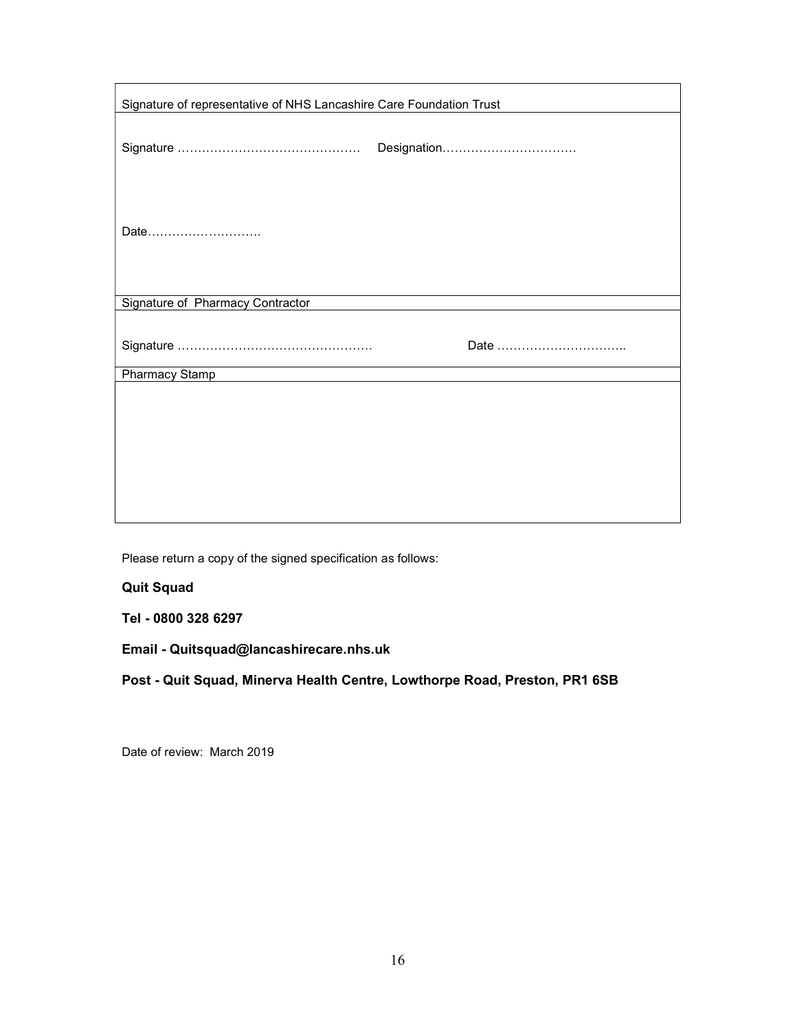| Signature of representative of NHS Lancashire Care Foundation Trust |             |  |
|---------------------------------------------------------------------|-------------|--|
|                                                                     | Designation |  |
| Date                                                                |             |  |
| Signature of Pharmacy Contractor                                    |             |  |
|                                                                     | Date        |  |
| Pharmacy Stamp                                                      |             |  |
|                                                                     |             |  |
|                                                                     |             |  |
|                                                                     |             |  |
|                                                                     |             |  |
|                                                                     |             |  |
|                                                                     |             |  |

Please return a copy of the signed specification as follows:

### Quit Squad

Tel - 0800 328 6297

Email - Quitsquad@lancashirecare.nhs.uk

Post - Quit Squad, Minerva Health Centre, Lowthorpe Road, Preston, PR1 6SB

Date of review: March 2019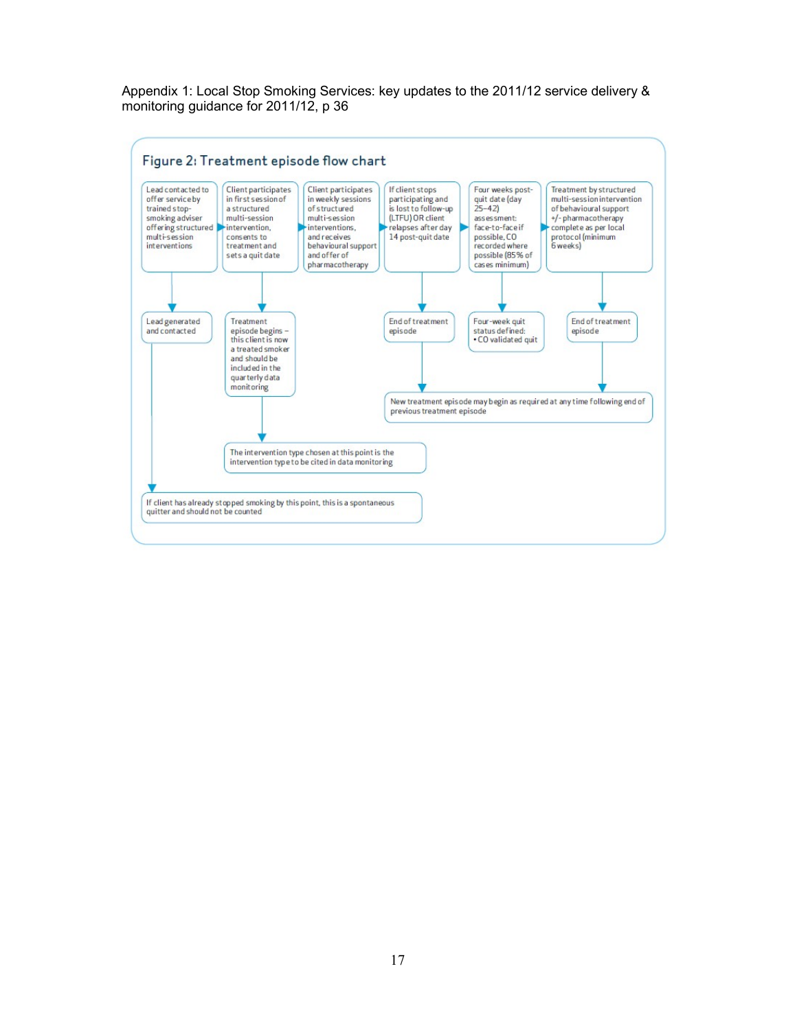Appendix 1: Local Stop Smoking Services: key updates to the 2011/12 service delivery & monitoring guidance for 2011/12, p 36

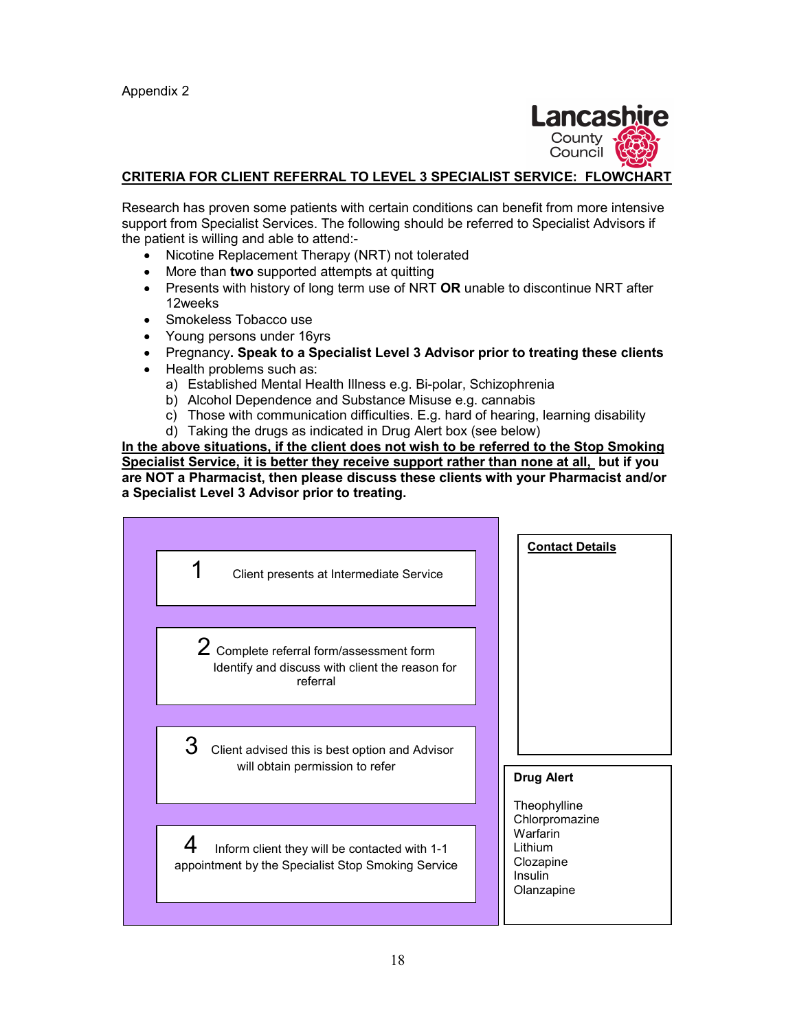

### CRITERIA FOR CLIENT REFERRAL TO LEVEL 3 SPECIALIST SERVICE: FLOWCHART

Research has proven some patients with certain conditions can benefit from more intensive support from Specialist Services. The following should be referred to Specialist Advisors if the patient is willing and able to attend:-

- Nicotine Replacement Therapy (NRT) not tolerated
- More than two supported attempts at quitting
- **•** Presents with history of long term use of NRT **OR** unable to discontinue NRT after 12weeks
- Smokeless Tobacco use
- Young persons under 16yrs
- Pregnancy. Speak to a Specialist Level 3 Advisor prior to treating these clients
- Health problems such as:
	- a) Established Mental Health Illness e.g. Bi-polar, Schizophrenia
	- b) Alcohol Dependence and Substance Misuse e.g. cannabis
	- c) Those with communication difficulties. E.g. hard of hearing, learning disability
	- d) Taking the drugs as indicated in Drug Alert box (see below)

In the above situations, if the client does not wish to be referred to the Stop Smoking Specialist Service, it is better they receive support rather than none at all, but if you are NOT a Pharmacist, then please discuss these clients with your Pharmacist and/or a Specialist Level 3 Advisor prior to treating.